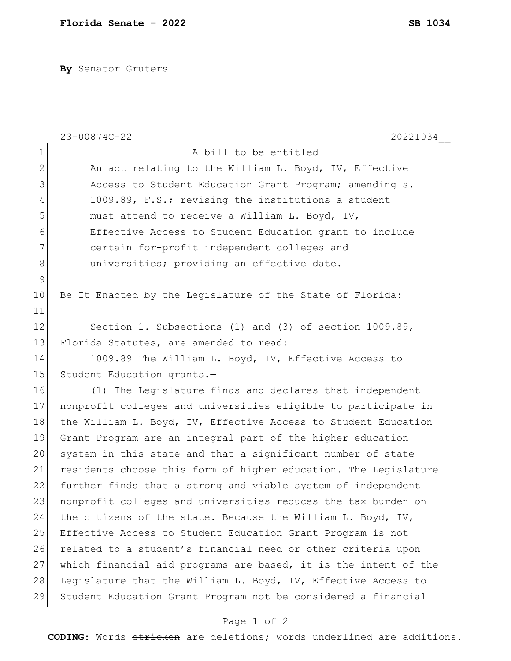**By** Senator Gruters

|              | 23-00874C-22<br>20221034                                        |
|--------------|-----------------------------------------------------------------|
| $\mathbf 1$  | A bill to be entitled                                           |
| $\mathbf{2}$ | An act relating to the William L. Boyd, IV, Effective           |
| 3            | Access to Student Education Grant Program; amending s.          |
| 4            | 1009.89, F.S.; revising the institutions a student              |
| 5            | must attend to receive a William L. Boyd, IV,                   |
| 6            | Effective Access to Student Education grant to include          |
| 7            | certain for-profit independent colleges and                     |
| 8            | universities; providing an effective date.                      |
| 9            |                                                                 |
| 10           | Be It Enacted by the Legislature of the State of Florida:       |
| 11           |                                                                 |
| 12           | Section 1. Subsections (1) and (3) of section 1009.89,          |
| 13           | Florida Statutes, are amended to read:                          |
| 14           | 1009.89 The William L. Boyd, IV, Effective Access to            |
| 15           | Student Education grants.-                                      |
| 16           | (1) The Legislature finds and declares that independent         |
| 17           | nonprofit colleges and universities eligible to participate in  |
| 18           | the William L. Boyd, IV, Effective Access to Student Education  |
| 19           | Grant Program are an integral part of the higher education      |
| 20           | system in this state and that a significant number of state     |
| 21           | residents choose this form of higher education. The Legislature |
| 22           | further finds that a strong and viable system of independent    |
| 23           | nonprofit colleges and universities reduces the tax burden on   |
| 24           | the citizens of the state. Because the William L. Boyd, IV,     |
| 25           | Effective Access to Student Education Grant Program is not      |
| 26           | related to a student's financial need or other criteria upon    |
| 27           | which financial aid programs are based, it is the intent of the |
| 28           | Legislature that the William L. Boyd, IV, Effective Access to   |
| 29           | Student Education Grant Program not be considered a financial   |

## Page 1 of 2

**CODING**: Words stricken are deletions; words underlined are additions.